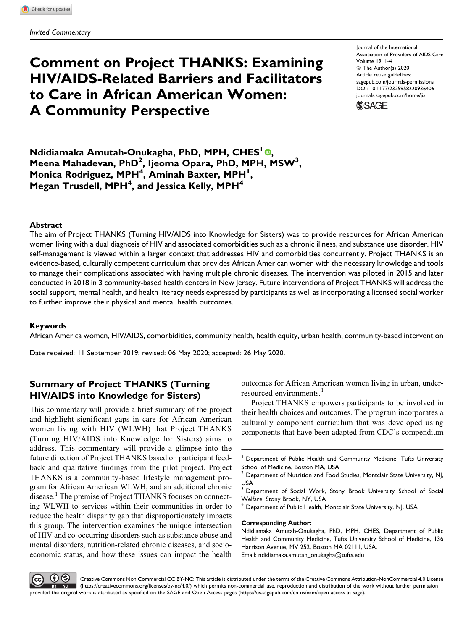# Comment on Project THANKS: Examining HIV/AIDS-Related Barriers and Facilitators to Care in African American Women: A Community Perspective

Journal of the International Association of Providers of AIDS Care Volume 19: 1-4 ª The Author(s) 2020 Article reuse guidelines: [sagepub.com/journals-permissions](https://sagepub.com/journals-permissions) [DOI: 10.1177/2325958220936406](https://doi.org/10.1177/2325958220936406) [journals.sagepub.com/home/jia](http://journals.sagepub.com/home/jia)



Ndidiamaka Amutah-Onukagha[,](https://orcid.org/0000-0003-1194-9927) PhD, MPH, CHES<sup>1</sup> ®, Meena Mahadevan, PhD<sup>2</sup>, Ijeoma Opara, PhD, MPH, MSW<sup>3</sup>, Monica Rodriguez, MPH<sup>4</sup>, Aminah Baxter, MPH<sup>1</sup>, Megan Trusdell, MPH<sup>4</sup>, and Jessica Kelly, MPH<sup>4</sup>

## **Abstract**

The aim of Project THANKS (Turning HIV/AIDS into Knowledge for Sisters) was to provide resources for African American women living with a dual diagnosis of HIV and associated comorbidities such as a chronic illness, and substance use disorder. HIV self-management is viewed within a larger context that addresses HIV and comorbidities concurrently. Project THANKS is an evidence-based, culturally competent curriculum that provides African American women with the necessary knowledge and tools to manage their complications associated with having multiple chronic diseases. The intervention was piloted in 2015 and later conducted in 2018 in 3 community-based health centers in New Jersey. Future interventions of Project THANKS will address the social support, mental health, and health literacy needs expressed by participants as well as incorporating a licensed social worker to further improve their physical and mental health outcomes.

## Keywords

African America women, HIV/AIDS, comorbidities, community health, health equity, urban health, community-based intervention

Date received: 11 September 2019; revised: 06 May 2020; accepted: 26 May 2020.

## Summary of Project THANKS (Turning HIV/AIDS into Knowledge for Sisters)

This commentary will provide a brief summary of the project and highlight significant gaps in care for African American women living with HIV (WLWH) that Project THANKS (Turning HIV/AIDS into Knowledge for Sisters) aims to address. This commentary will provide a glimpse into the future direction of Project THANKS based on participant feedback and qualitative findings from the pilot project. Project THANKS is a community-based lifestyle management program for African American WLWH, and an additional chronic disease.<sup>1</sup> The premise of Project THANKS focuses on connecting WLWH to services within their communities in order to reduce the health disparity gap that disproportionately impacts this group. The intervention examines the unique intersection of HIV and co-occurring disorders such as substance abuse and mental disorders, nutrition-related chronic diseases, and socioeconomic status, and how these issues can impact the health

outcomes for African American women living in urban, underresourced environments.<sup>1</sup>

Project THANKS empowers participants to be involved in their health choices and outcomes. The program incorporates a culturally component curriculum that was developed using components that have been adapted from CDC's compendium

#### Corresponding Author:



Creative Commons Non Commercial CC BY-NC: This article is distributed under the terms of the Creative Commons Attribution-NonCommercial 4.0 License ([https://creativecommons.org/licenses/by-nc/4.0/\)](https://creativecommons.org/licenses/by-nc/4.0/) which permits non-commercial use, reproduction and distribution of the work without further permission provided the original work is attributed as specified on the SAGE and Open Access pages (<https://us.sagepub.com/en-us/nam/open-access-at-sage>).

<sup>&</sup>lt;sup>1</sup> Department of Public Health and Community Medicine, Tufts University School of Medicine, Boston MA, USA

 $2$  Department of Nutrition and Food Studies, Montclair State University, NJ, USA

<sup>&</sup>lt;sup>3</sup> Department of Social Work, Stony Brook University School of Social Welfare, Stony Brook, NY, USA

<sup>&</sup>lt;sup>4</sup> Department of Public Health, Montclair State University, NJ, USA

Ndidiamaka Amutah-Onukagha, PhD, MPH, CHES, Department of Public Health and Community Medicine, Tufts University School of Medicine, 136 Harrison Avenue, MV 252, Boston MA 02111, USA. Email: [ndidiamaka.amutah\\_onukagha@tufts.edu](mailto:ndidiamaka.amutah_onukagha@tufts.edu)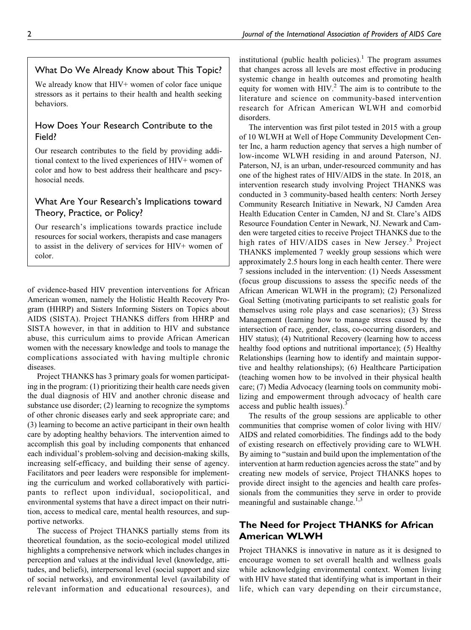## What Do We Already Know about This Topic?

We already know that HIV+ women of color face unique stressors as it pertains to their health and health seeking behaviors.

## How Does Your Research Contribute to the Field?

Our research contributes to the field by providing additional context to the lived experiences of HIV+ women of color and how to best address their healthcare and pscyhosocial needs.

## What Are Your Research's Implications toward Theory, Practice, or Policy?

Our research's implications towards practice include resources for social workers, therapists and case managers to assist in the delivery of services for HIV+ women of color.

of evidence-based HIV prevention interventions for African American women, namely the Holistic Health Recovery Program (HHRP) and Sisters Informing Sisters on Topics about AIDS (SISTA). Project THANKS differs from HHRP and SISTA however, in that in addition to HIV and substance abuse, this curriculum aims to provide African American women with the necessary knowledge and tools to manage the complications associated with having multiple chronic diseases.

Project THANKS has 3 primary goals for women participating in the program: (1) prioritizing their health care needs given the dual diagnosis of HIV and another chronic disease and substance use disorder; (2) learning to recognize the symptoms of other chronic diseases early and seek appropriate care; and (3) learning to become an active participant in their own health care by adopting healthy behaviors. The intervention aimed to accomplish this goal by including components that enhanced each individual's problem-solving and decision-making skills, increasing self-efficacy, and building their sense of agency. Facilitators and peer leaders were responsible for implementing the curriculum and worked collaboratively with participants to reflect upon individual, sociopolitical, and environmental systems that have a direct impact on their nutrition, access to medical care, mental health resources, and supportive networks.

The success of Project THANKS partially stems from its theoretical foundation, as the socio-ecological model utilized highlights a comprehensive network which includes changes in perception and values at the individual level (knowledge, attitudes, and beliefs), interpersonal level (social support and size of social networks), and environmental level (availability of relevant information and educational resources), and institutional (public health policies).<sup>1</sup> The program assumes that changes across all levels are most effective in producing systemic change in health outcomes and promoting health equity for women with  $HIV<sup>2</sup>$ . The aim is to contribute to the literature and science on community-based intervention research for African American WLWH and comorbid disorders.

The intervention was first pilot tested in 2015 with a group of 10 WLWH at Well of Hope Community Development Center Inc, a harm reduction agency that serves a high number of low-income WLWH residing in and around Paterson, NJ. Paterson, NJ, is an urban, under-resourced community and has one of the highest rates of HIV/AIDS in the state. In 2018, an intervention research study involving Project THANKS was conducted in 3 community-based health centers: North Jersey Community Research Initiative in Newark, NJ Camden Area Health Education Center in Camden, NJ and St. Clare's AIDS Resource Foundation Center in Newark, NJ. Newark and Camden were targeted cities to receive Project THANKS due to the high rates of HIV/AIDS cases in New Jersey.<sup>3</sup> Project THANKS implemented 7 weekly group sessions which were approximately 2.5 hours long in each health center. There were 7 sessions included in the intervention: (1) Needs Assessment (focus group discussions to assess the specific needs of the African American WLWH in the program); (2) Personalized Goal Setting (motivating participants to set realistic goals for themselves using role plays and case scenarios); (3) Stress Management (learning how to manage stress caused by the intersection of race, gender, class, co-occurring disorders, and HIV status); (4) Nutritional Recovery (learning how to access healthy food options and nutritional importance); (5) Healthy Relationships (learning how to identify and maintain supportive and healthy relationships); (6) Healthcare Participation (teaching women how to be involved in their physical health care; (7) Media Advocacy (learning tools on community mobilizing and empowerment through advocacy of health care access and public health issues). $3$ 

The results of the group sessions are applicable to other communities that comprise women of color living with HIV/ AIDS and related comorbidities. The findings add to the body of existing research on effectively providing care to WLWH. By aiming to "sustain and build upon the implementation of the intervention at harm reduction agencies across the state" and by creating new models of service, Project THANKS hopes to provide direct insight to the agencies and health care professionals from the communities they serve in order to provide meaningful and sustainable change. $1,3$ 

## The Need for Project THANKS for African American WLWH

Project THANKS is innovative in nature as it is designed to encourage women to set overall health and wellness goals while acknowledging environmental context. Women living with HIV have stated that identifying what is important in their life, which can vary depending on their circumstance,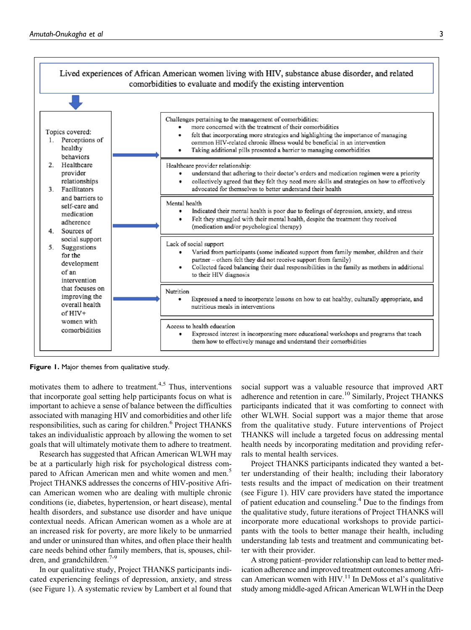

Figure 1. Major themes from qualitative study.

motivates them to adhere to treatment.<sup>4,5</sup> Thus, interventions that incorporate goal setting help participants focus on what is important to achieve a sense of balance between the difficulties associated with managing HIV and comorbidities and other life responsibilities, such as caring for children.<sup>6</sup> Project THANKS takes an individualistic approach by allowing the women to set goals that will ultimately motivate them to adhere to treatment.

Research has suggested that African American WLWH may be at a particularly high risk for psychological distress compared to African American men and white women and men.<sup>5</sup> Project THANKS addresses the concerns of HIV-positive African American women who are dealing with multiple chronic conditions (ie, diabetes, hypertension, or heart disease), mental health disorders, and substance use disorder and have unique contextual needs. African American women as a whole are at an increased risk for poverty, are more likely to be unmarried and under or uninsured than whites, and often place their health care needs behind other family members, that is, spouses, children, and grandchildren.<sup>7-9</sup>

In our qualitative study, Project THANKS participants indicated experiencing feelings of depression, anxiety, and stress (see Figure 1). A systematic review by Lambert et al found that

social support was a valuable resource that improved ART adherence and retention in care.<sup>10</sup> Similarly, Project THANKS participants indicated that it was comforting to connect with other WLWH. Social support was a major theme that arose from the qualitative study. Future interventions of Project THANKS will include a targeted focus on addressing mental health needs by incorporating meditation and providing referrals to mental health services.

Project THANKS participants indicated they wanted a better understanding of their health; including their laboratory tests results and the impact of medication on their treatment (see Figure 1). HIV care providers have stated the importance of patient education and counseling.<sup>4</sup> Due to the findings from the qualitative study, future iterations of Project THANKS will incorporate more educational workshops to provide participants with the tools to better manage their health, including understanding lab tests and treatment and communicating better with their provider.

A strong patient–provider relationship can lead to better medication adherence and improved treatment outcomes among African American women with HIV.<sup>11</sup> In DeMoss et al's qualitative study among middle-aged African American WLWH in the Deep